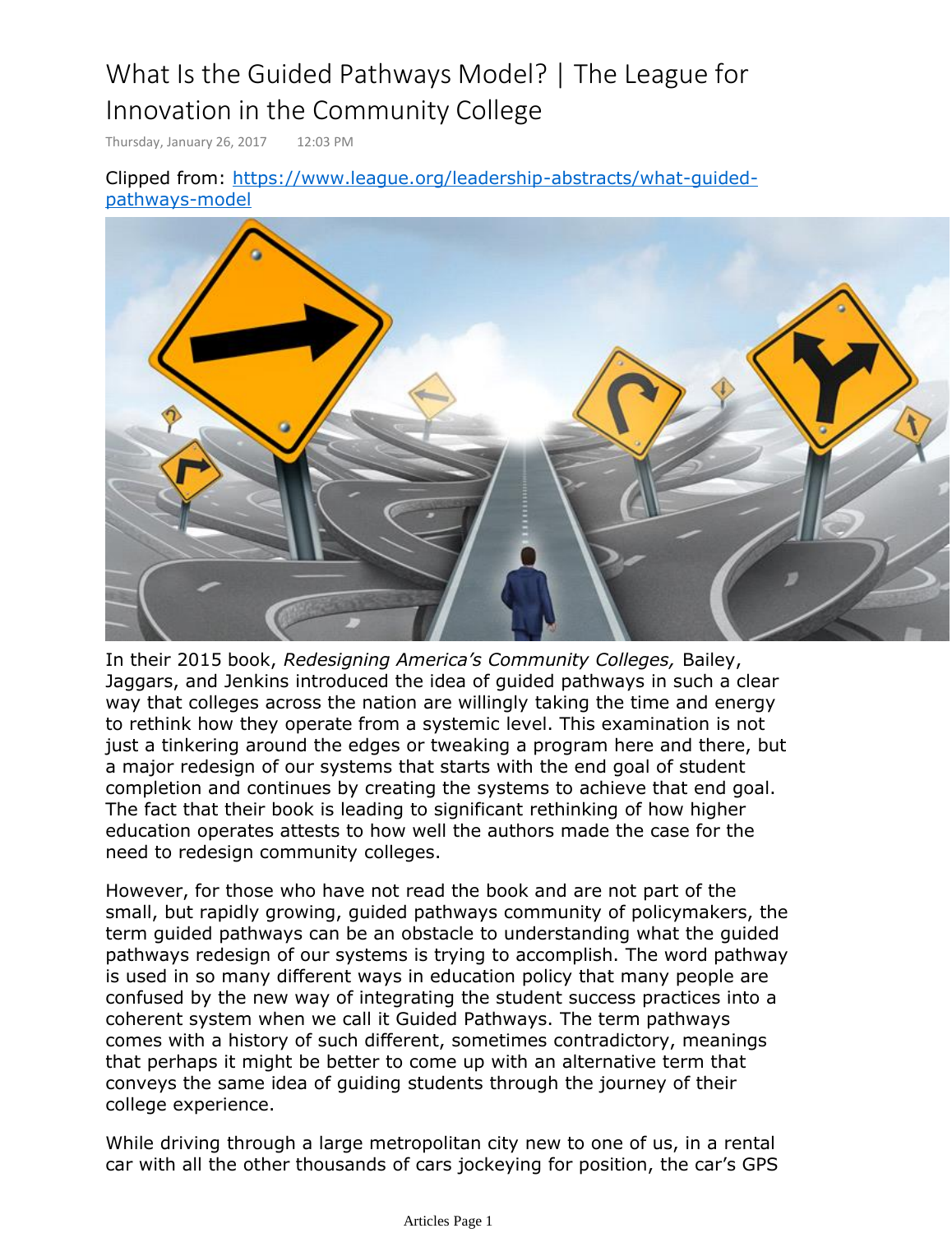# What Is the Guided Pathways Model? | The League for Innovation in the Community College

Thursday, January 26, 2017 12:03 PM

[Clipped from: http](https://www.league.org/leadership-abstracts/what-guided-pathways-model)s://www.league.org/leadership-abstracts/what-guidedpathways-model



In their 2015 book, *Redesigning America's Community Colleges,* Bailey, Jaggars, and Jenkins introduced the idea of guided pathways in such a clear way that colleges across the nation are willingly taking the time and energy to rethink how they operate from a systemic level. This examination is not just a tinkering around the edges or tweaking a program here and there, but a major redesign of our systems that starts with the end goal of student completion and continues by creating the systems to achieve that end goal. The fact that their book is leading to significant rethinking of how higher education operates attests to how well the authors made the case for the need to redesign community colleges.

However, for those who have not read the book and are not part of the small, but rapidly growing, guided pathways community of policymakers, the term guided pathways can be an obstacle to understanding what the guided pathways redesign of our systems is trying to accomplish. The word pathway is used in so many different ways in education policy that many people are confused by the new way of integrating the student success practices into a coherent system when we call it Guided Pathways. The term pathways comes with a history of such different, sometimes contradictory, meanings that perhaps it might be better to come up with an alternative term that conveys the same idea of guiding students through the journey of their college experience.

While driving through a large metropolitan city new to one of us, in a rental car with all the other thousands of cars jockeying for position, the car's GPS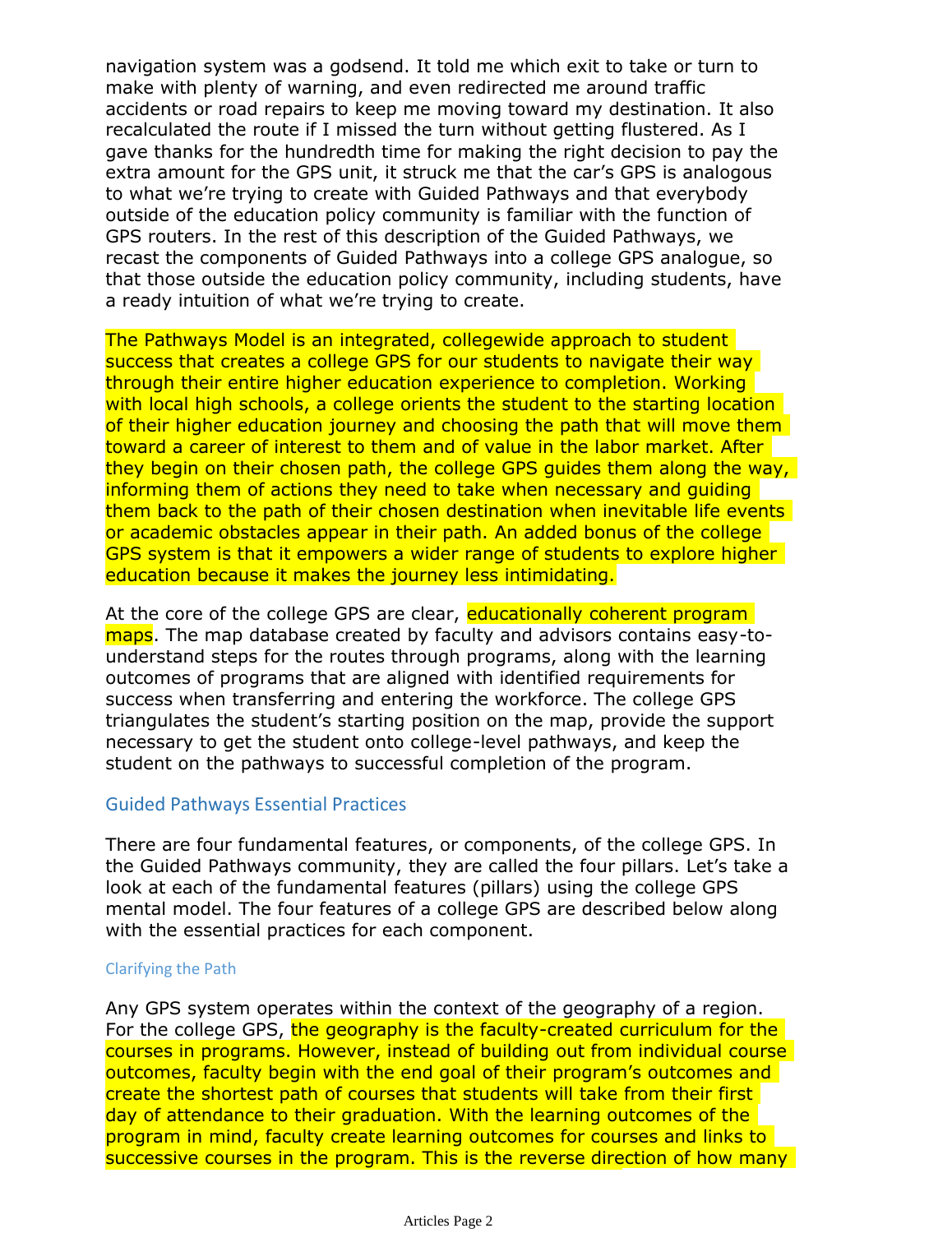navigation system was a godsend. It told me which exit to take or turn to make with plenty of warning, and even redirected me around traffic accidents or road repairs to keep me moving toward my destination. It also recalculated the route if I missed the turn without getting flustered. As I gave thanks for the hundredth time for making the right decision to pay the extra amount for the GPS unit, it struck me that the car's GPS is analogous to what we're trying to create with Guided Pathways and that everybody outside of the education policy community is familiar with the function of GPS routers. In the rest of this description of the Guided Pathways, we recast the components of Guided Pathways into a college GPS analogue, so that those outside the education policy community, including students, have a ready intuition of what we're trying to create.

The Pathways Model is an integrated, collegewide approach to student success that creates a college GPS for our students to navigate their way through their entire higher education experience to completion. Working with local high schools, a college orients the student to the starting location of their higher education journey and choosing the path that will move them toward a career of interest to them and of value in the labor market. After they begin on their chosen path, the college GPS guides them along the way, informing them of actions they need to take when necessary and guiding them back to the path of their chosen destination when inevitable life events or academic obstacles appear in their path. An added bonus of the college GPS system is that it empowers a wider range of students to explore higher education because it makes the journey less intimidating.

At the core of the college GPS are clear, educationally coherent program maps. The map database created by faculty and advisors contains easy-tounderstand steps for the routes through programs, along with the learning outcomes of programs that are aligned with identified requirements for success when transferring and entering the workforce. The college GPS triangulates the student's starting position on the map, provide the support necessary to get the student onto college-level pathways, and keep the student on the pathways to successful completion of the program.

### Guided Pathways Essential Practices

There are four fundamental features, or components, of the college GPS. In the Guided Pathways community, they are called the four pillars. Let's take a look at each of the fundamental features (pillars) using the college GPS mental model. The four features of a college GPS are described below along with the essential practices for each component.

#### Clarifying the Path

Any GPS system operates within the context of the geography of a region. For the college GPS, the geography is the faculty-created curriculum for the courses in programs. However, instead of building out from individual course outcomes, faculty begin with the end goal of their program's outcomes and create the shortest path of courses that students will take from their first day of attendance to their graduation. With the learning outcomes of the program in mind, faculty create learning outcomes for courses and links to successive courses in the program. This is the reverse direction of how many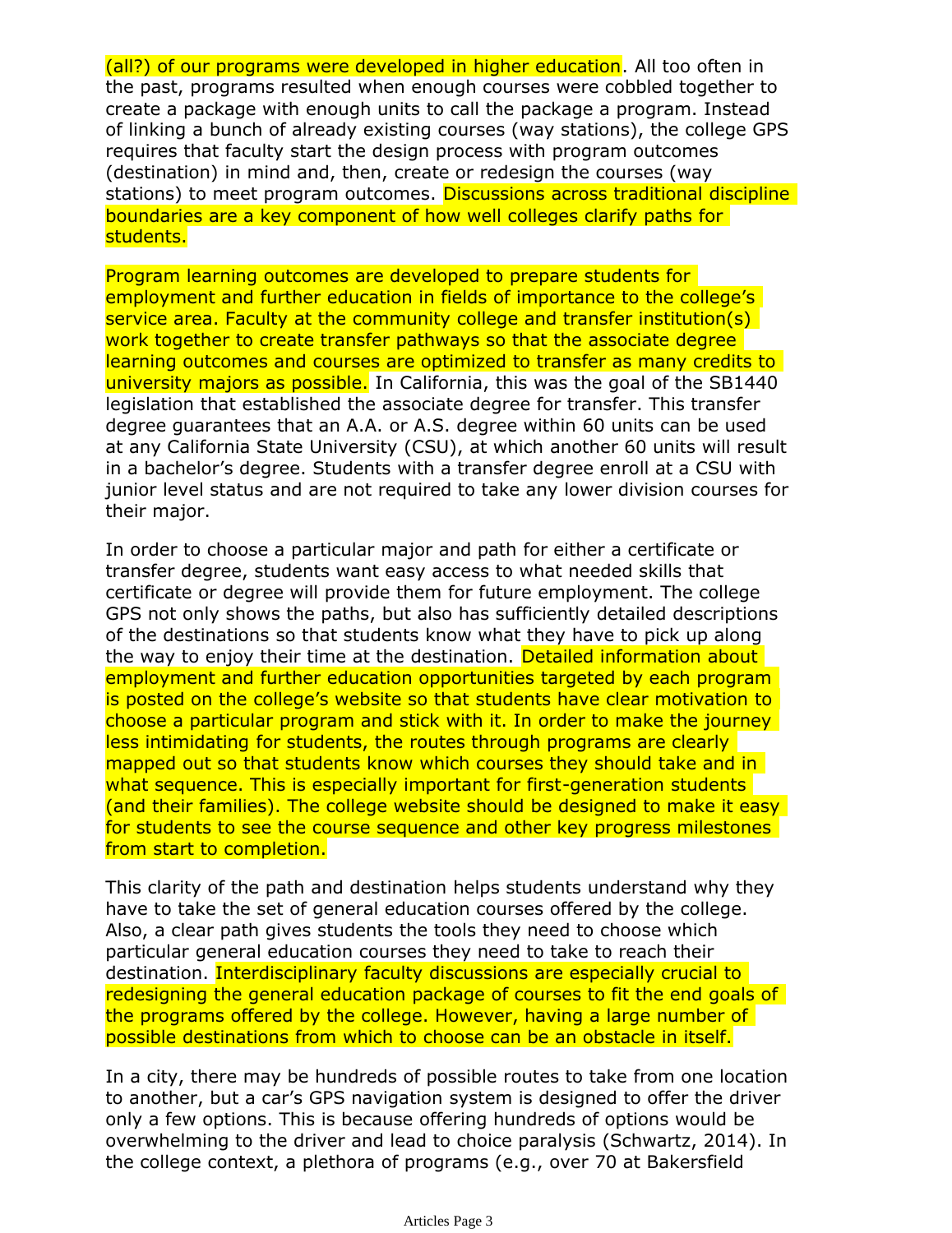(all?) of our programs were developed in higher education. All too often in the past, programs resulted when enough courses were cobbled together to create a package with enough units to call the package a program. Instead of linking a bunch of already existing courses (way stations), the college GPS requires that faculty start the design process with program outcomes (destination) in mind and, then, create or redesign the courses (way stations) to meet program outcomes. Discussions across traditional discipline boundaries are a key component of how well colleges clarify paths for students.

Program learning outcomes are developed to prepare students for employment and further education in fields of importance to the college's service area. Faculty at the community college and transfer institution(s) work together to create transfer pathways so that the associate degree learning outcomes and courses are optimized to transfer as many credits to university majors as possible. In California, this was the goal of the SB1440 legislation that established the associate degree for transfer. This transfer degree guarantees that an A.A. or A.S. degree within 60 units can be used at any California State University (CSU), at which another 60 units will result in a bachelor's degree. Students with a transfer degree enroll at a CSU with junior level status and are not required to take any lower division courses for their major.

In order to choose a particular major and path for either a certificate or transfer degree, students want easy access to what needed skills that certificate or degree will provide them for future employment. The college GPS not only shows the paths, but also has sufficiently detailed descriptions of the destinations so that students know what they have to pick up along the way to enjoy their time at the destination. Detailed information about employment and further education opportunities targeted by each program is posted on the college's website so that students have clear motivation to choose a particular program and stick with it. In order to make the journey less intimidating for students, the routes through programs are clearly mapped out so that students know which courses they should take and in what sequence. This is especially important for first-generation students (and their families). The college website should be designed to make it easy for students to see the course sequence and other key progress milestones from start to completion.

This clarity of the path and destination helps students understand why they have to take the set of general education courses offered by the college. Also, a clear path gives students the tools they need to choose which particular general education courses they need to take to reach their destination. Interdisciplinary faculty discussions are especially crucial to redesigning the general education package of courses to fit the end goals of the programs offered by the college. However, having a large number of possible destinations from which to choose can be an obstacle in itself.

In a city, there may be hundreds of possible routes to take from one location to another, but a car's GPS navigation system is designed to offer the driver only a few options. This is because offering hundreds of options would be overwhelming to the driver and lead to choice paralysis (Schwartz, 2014). In the college context, a plethora of programs (e.g., over 70 at Bakersfield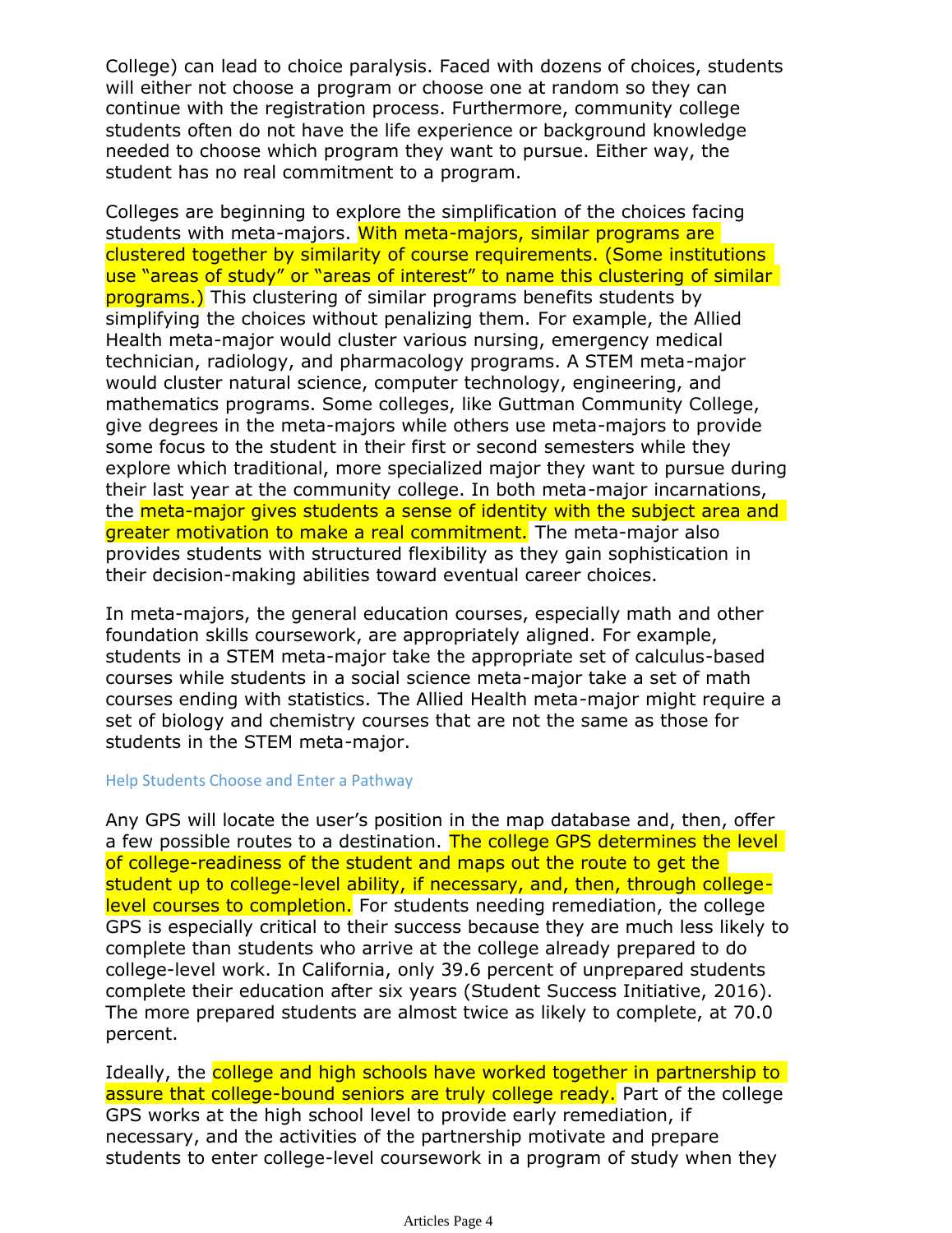College) can lead to choice paralysis. Faced with dozens of choices, students will either not choose a program or choose one at random so they can continue with the registration process. Furthermore, community college students often do not have the life experience or background knowledge needed to choose which program they want to pursue. Either way, the student has no real commitment to a program.

Colleges are beginning to explore the simplification of the choices facing students with meta-majors. With meta-majors, similar programs are clustered together by similarity of course requirements. (Some institutions use "areas of study" or "areas of interest" to name this clustering of similar programs.) This clustering of similar programs benefits students by simplifying the choices without penalizing them. For example, the Allied Health meta-major would cluster various nursing, emergency medical technician, radiology, and pharmacology programs. A STEM meta-major would cluster natural science, computer technology, engineering, and mathematics programs. Some colleges, like Guttman Community College, give degrees in the meta-majors while others use meta-majors to provide some focus to the student in their first or second semesters while they explore which traditional, more specialized major they want to pursue during their last year at the community college. In both meta-major incarnations, the meta-major gives students a sense of identity with the subject area and greater motivation to make a real commitment. The meta-major also provides students with structured flexibility as they gain sophistication in their decision-making abilities toward eventual career choices.

In meta-majors, the general education courses, especially math and other foundation skills coursework, are appropriately aligned. For example, students in a STEM meta-major take the appropriate set of calculus-based courses while students in a social science meta-major take a set of math courses ending with statistics. The Allied Health meta-major might require a set of biology and chemistry courses that are not the same as those for students in the STEM meta-major.

#### Help Students Choose and Enter a Pathway

Any GPS will locate the user's position in the map database and, then, offer a few possible routes to a destination. The college GPS determines the level of college-readiness of the student and maps out the route to get the student up to college-level ability, if necessary, and, then, through collegelevel courses to completion. For students needing remediation, the college GPS is especially critical to their success because they are much less likely to complete than students who arrive at the college already prepared to do college-level work. In California, only 39.6 percent of unprepared students complete their education after six years (Student Success Initiative, 2016). The more prepared students are almost twice as likely to complete, at 70.0 percent.

Ideally, the college and high schools have worked together in partnership to assure that college-bound seniors are truly college ready. Part of the college GPS works at the high school level to provide early remediation, if necessary, and the activities of the partnership motivate and prepare students to enter college-level coursework in a program of study when they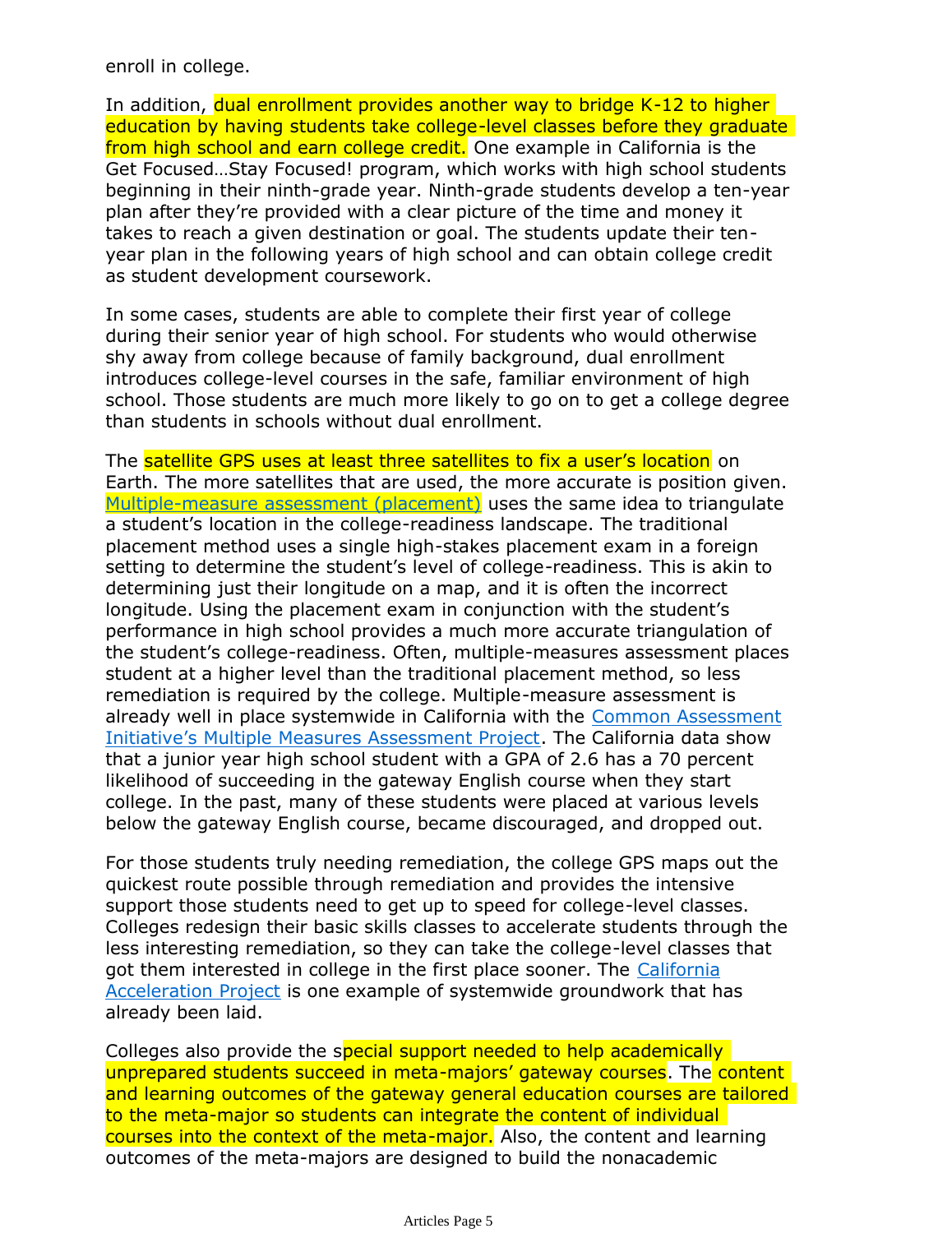enroll in college.

In addition, dual enrollment provides another way to bridge K-12 to higher education by having students take college-level classes before they graduate from high school and earn college credit. One example in California is the Get Focused…Stay Focused! program, which works with high school students beginning in their ninth-grade year. Ninth-grade students develop a ten-year plan after they're provided with a clear picture of the time and money it takes to reach a given destination or goal. The students update their tenyear plan in the following years of high school and can obtain college credit as student development coursework.

In some cases, students are able to complete their first year of college during their senior year of high school. For students who would otherwise shy away from college because of family background, dual enrollment introduces college-level courses in the safe, familiar environment of high school. Those students are much more likely to go on to get a college degree than students in schools without dual enrollment.

The [satellit](http://rpgroup.org/projects/multiple-measures-assessment-project)e GPS uses at least three satellites to fix a user's location on Earth. The more satellites that are used, the more accurate is position given. Multiple-mea[sure a](http://rpgroup.org/projects/multiple-measures-assessment-project)ssessment (placement) uses the same idea to triangulate [a student's l](http://rpgroup.org/projects/multiple-measures-assessment-project)ocation in the college-readiness landscape. The traditional placement method uses a single high-stakes placement exam in a foreign setting to determine the student's level of college-readiness. This is akin to determining just their longitude on a map, and it is often the incorrect longitude. Using the placement exam in conjunction with the student's performance in high school provides a much more accurate triangulation of the student's college-readiness. Often, multiple-measures assessment places student at a higher level than the traditional placement method, so less remediation is required by the college. Multiple-measure assessment is already well in place systemwide in California with the Common Assessment Initiative's Multiple Measures Assessment Project. The California data show that a junior year high school student with a GPA of 2.6 has a 70 percent likelihood of succeeding in the gateway English course when they start college. In the past, many of these students were placed at various levels below the gateway English course, became discouraged, and dropped out.

For those students truly needing remediation, the college GPS maps out the [quick](http://cap.3csn.org/)est route [po](http://cap.3csn.org/)ssible through remediation and provides the intensive support those students need to get up to speed for college-level classes. Colleges redesign their basic skills classes to accelerate students through the less interesting remediation, so they can take the college-level classes that got them interested in college in the first place sooner. The California Acceleration Project is one example of systemwide groundwork that has already been laid.

Colleges also provide the special support needed to help academically unprepared students succeed in meta-majors' gateway courses. The content and learning outcomes of the gateway general education courses are tailored to the meta-major so students can integrate the content of individual courses into the context of the meta-major. Also, the content and learning outcomes of the meta-majors are designed to build the nonacademic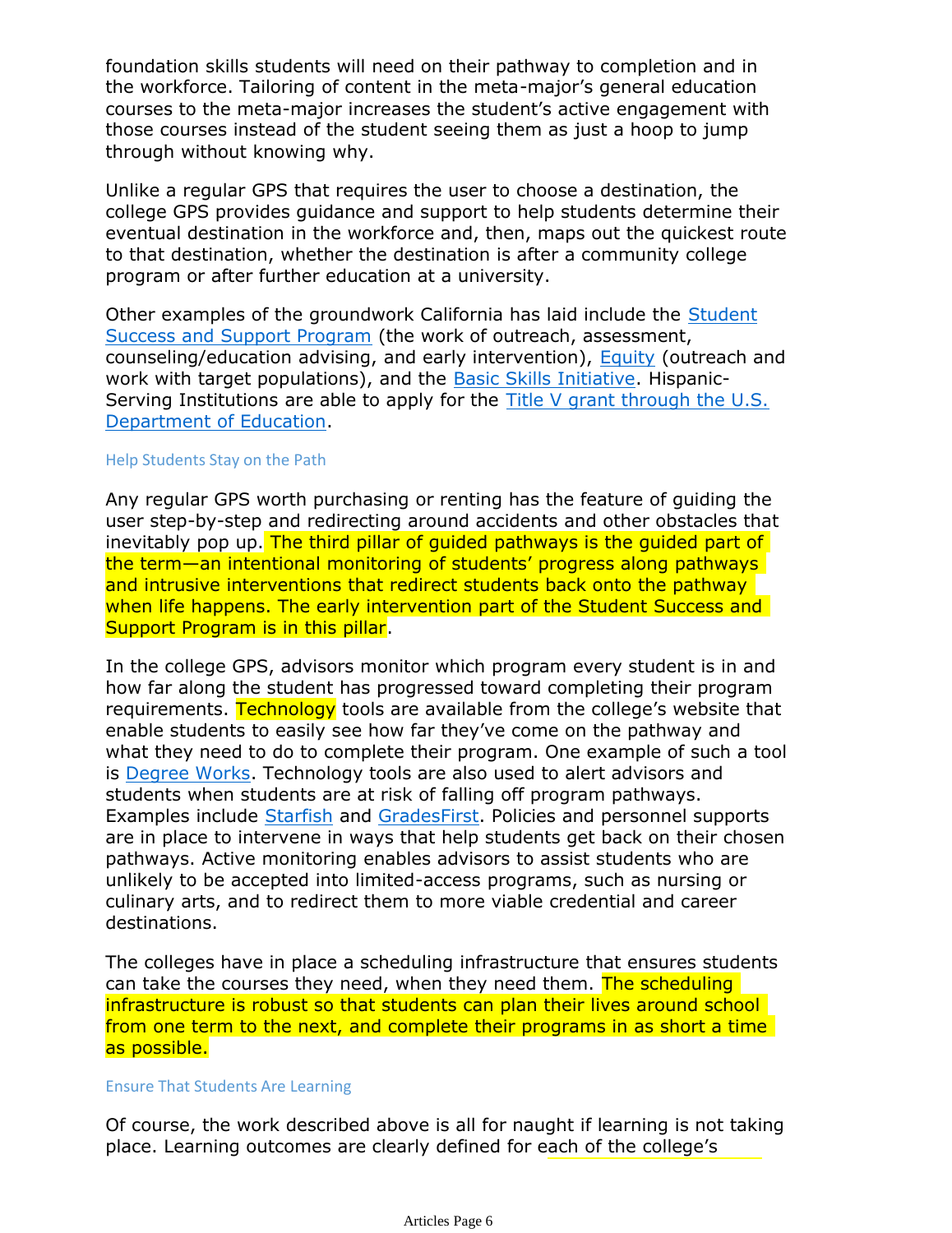foundation skills students will need on their pathway to completion and in the workforce. Tailoring of content in the meta-major's general education courses to the meta-major increases the student's active engagement with those courses instead of the student seeing them as just a hoop to jump through without knowing why.

Unlike a regular GPS that requires the user to choose a destination, the college GPS provides guidance and support to help students determine their eventual destination in the workforce and, then, maps out the quickest route to that destination, whether the destination is after a community college program or after further education at a university.

[Other e](http://extranet.cccco.edu/Divisions/StudentServices/Matriculation/Handbook.aspx)x[ampl](http://www.cccbsi.org/)[es](http://extranet.cccco.edu/Divisions/StudentServices/StudentEquity.aspx) [of](http://extranet.cccco.edu/Divisions/StudentServices/Matriculation/Handbook.aspx) the groundwork California has laid include the Student [Succes](http://www2.ed.gov/programs/idueshsi/index.html)s a[nd Suppo](http://www2.ed.gov/programs/idueshsi/index.html)rt Program (the work of outreach, assessment, counseling/education advising, and early intervention), Equity (outreach and work with target populations), and the Basic Skills Initiative. Hispanic-Serving Institutions are able to apply for the Title V grant through the U.S. Department of Education.

#### Help Students Stay on the Path

Any regular GPS worth purchasing or renting has the feature of guiding the user step-by-step and redirecting around accidents and other obstacles that inevitably pop up. The third pillar of quided pathways is the quided part of the term—an intentional monitoring of students' progress along pathways and intrusive interventions that redirect students back onto the pathway when life happens. The early intervention part of the Student Success and Support Program is in this pillar.

In the college GPS, advisors monitor which program every student is in and [how](http://www.ellucian.com/Software/Ellucian-Degree-Works/) [fa](http://www.starfishsolutions.com/)[r alo](http://gradesfirst.com/)ng the student has progressed toward completing their program requirements. Technology tools are available from the college's website that enable students to easily see how far they've come on the pathway and what they need to do to complete their program. One example of such a tool is Degree Works. Technology tools are also used to alert advisors and students when students are at risk of falling off program pathways. Examples include Starfish and GradesFirst. Policies and personnel supports are in place to intervene in ways that help students get back on their chosen pathways. Active monitoring enables advisors to assist students who are unlikely to be accepted into limited-access programs, such as nursing or culinary arts, and to redirect them to more viable credential and career destinations.

The colleges have in place a scheduling infrastructure that ensures students can take the courses they need, when they need them. The scheduling infrastructure is robust so that students can plan their lives around school from one term to the next, and complete their programs in as short a time as possible.

#### Ensure That Students Are Learning

Of course, the work described above is all for naught if learning is not taking place. Learning outcomes are clearly defined for each of the college's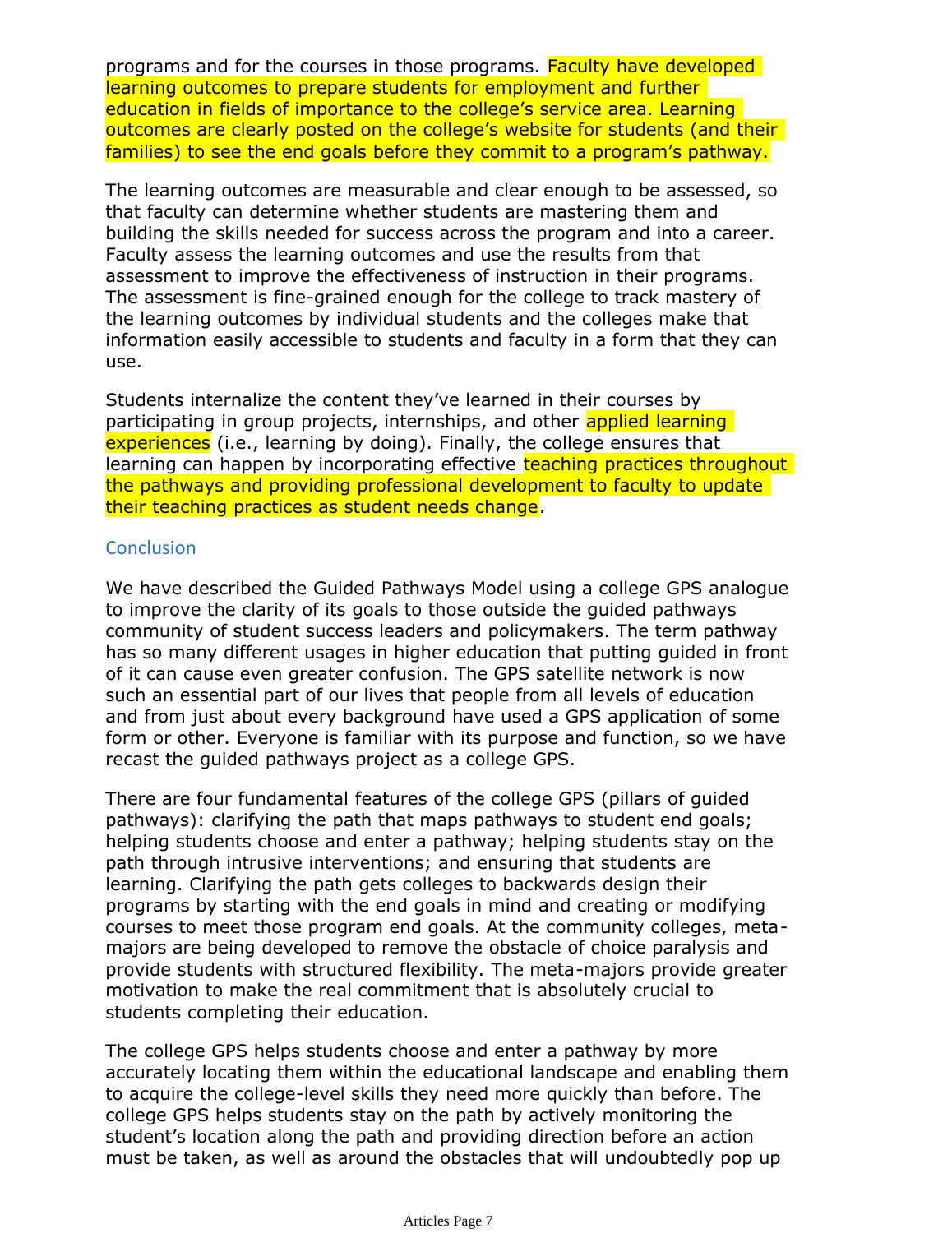programs and for the courses in those programs. Faculty have developed learning outcomes to prepare students for employment and further education in fields of importance to the college's service area. Learning outcomes are clearly posted on the college's website for students (and their families) to see the end goals before they commit to a program's pathway.

The learning outcomes are measurable and clear enough to be assessed, so that faculty can determine whether students are mastering them and building the skills needed for success across the program and into a career. Faculty assess the learning outcomes and use the results from that assessment to improve the effectiveness of instruction in their programs. The assessment is fine-grained enough for the college to track mastery of the learning outcomes by individual students and the colleges make that information easily accessible to students and faculty in a form that they can use.

Students internalize the content they've learned in their courses by participating in group projects, internships, and other **applied learning** experiences (i.e., learning by doing). Finally, the college ensures that learning can happen by incorporating effective teaching practices throughout the pathways and providing professional development to faculty to update their teaching practices as student needs change.

## **Conclusion**

We have described the Guided Pathways Model using a college GPS analogue to improve the clarity of its goals to those outside the guided pathways community of student success leaders and policymakers. The term pathway has so many different usages in higher education that putting guided in front of it can cause even greater confusion. The GPS satellite network is now such an essential part of our lives that people from all levels of education and from just about every background have used a GPS application of some form or other. Everyone is familiar with its purpose and function, so we have recast the guided pathways project as a college GPS.

There are four fundamental features of the college GPS (pillars of guided pathways): clarifying the path that maps pathways to student end goals; helping students choose and enter a pathway; helping students stay on the path through intrusive interventions; and ensuring that students are learning. Clarifying the path gets colleges to backwards design their programs by starting with the end goals in mind and creating or modifying courses to meet those program end goals. At the community colleges, metamajors are being developed to remove the obstacle of choice paralysis and provide students with structured flexibility. The meta-majors provide greater motivation to make the real commitment that is absolutely crucial to students completing their education.

The college GPS helps students choose and enter a pathway by more accurately locating them within the educational landscape and enabling them to acquire the college-level skills they need more quickly than before. The college GPS helps students stay on the path by actively monitoring the student's location along the path and providing direction before an action must be taken, as well as around the obstacles that will undoubtedly pop up